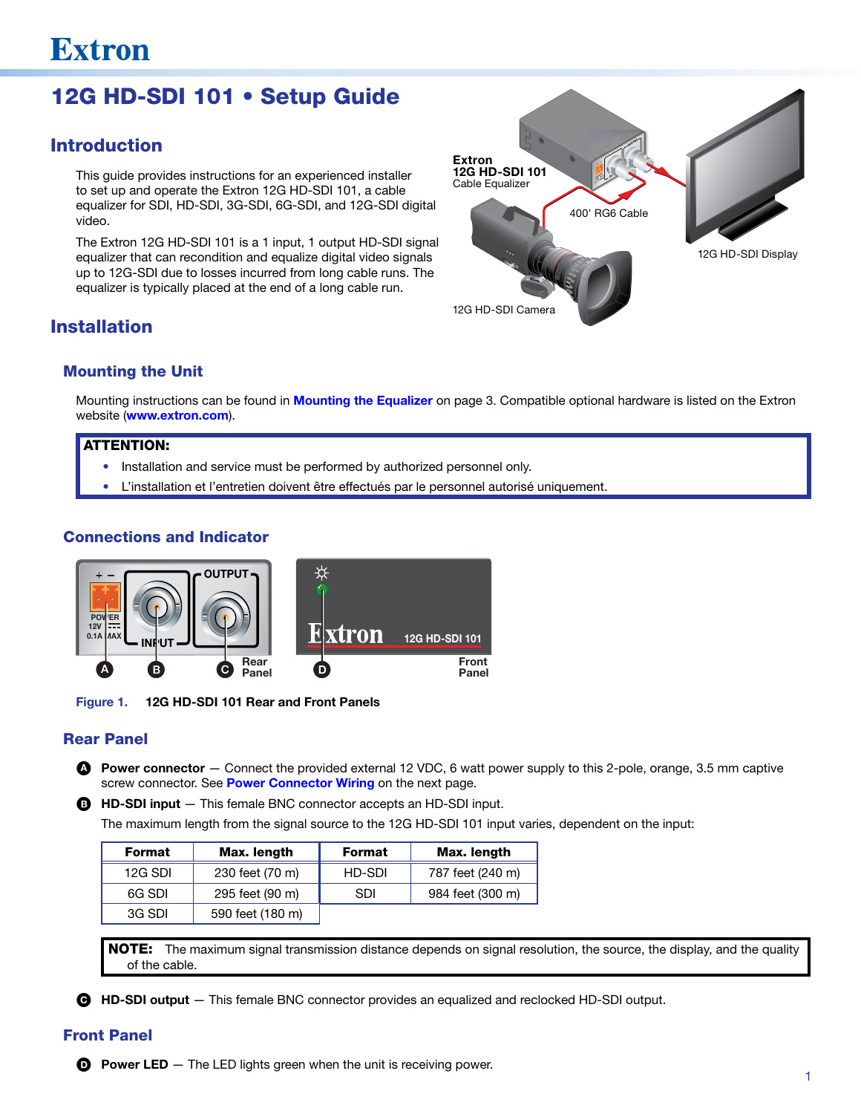# 12G HD-SDI 101 • Setup Guide

# Introduction

This guide provides instructions for an experienced installer to set up and operate the Extron 12G HD-SDI 101, a cable equalizer for SDI, HD-SDI, 3G-SDI, 6G-SDI, and 12G-SDI digital video.

The Extron 12G HD-SDI 101 is a 1 input, 1 output HD-SDI signal equalizer that can recondition and equalize digital video signals up to 12G-SDI due to losses incurred from long cable runs. The equalizer is typically placed at the end of a long cable run.

# POWER 0.1 A MAX **INPUT OUTPUT** 400' RG6 Cable 12G HD-SDI Display Extron 12G HD-SDI 101 Cable Equalizer 12G HD-SDI Camera

# Installation

### Mounting the Unit

Mounting instructions can be found in [Mounting the Equalizer](#page-2-0) on page 3. Compatible optional hardware is listed on the Extron website (www.extron.com).

### ATTENTION:

- Installation and service must be performed by authorized personnel only.
- L'installation et l'entretien doivent être effectués par le personnel autorisé uniquement.

### Connections and Indicator



Figure 1. 12G HD-SDI 101 Rear and Front Panels

## Rear Panel

- **A** Power connector  $-$  Connect the provided external 12 VDC, 6 watt power supply to this 2-pole, orange, 3.5 mm captive screw connector. See [Power Connector Wiring](#page-1-0) on the next page.
- **B** HD-SDI input This female BNC connector accepts an HD-SDI input.

The maximum length from the signal source to the 12G HD-SDI 101 input varies, dependent on the input:

| Format  | Max. length      | <b>Format</b> | Max. length      |
|---------|------------------|---------------|------------------|
| 12G SDI | 230 feet (70 m)  | HD-SDI        | 787 feet (240 m) |
| 6G SDI  | 295 feet (90 m)  | <b>SDI</b>    | 984 feet (300 m) |
| 3G SDI  | 590 feet (180 m) |               |                  |

NOTE: The maximum signal transmission distance depends on signal resolution, the source, the display, and the quality of the cable.

C HD-SDI output — This female BNC connector provides an equalized and reclocked HD-SDI output.

## Front Panel

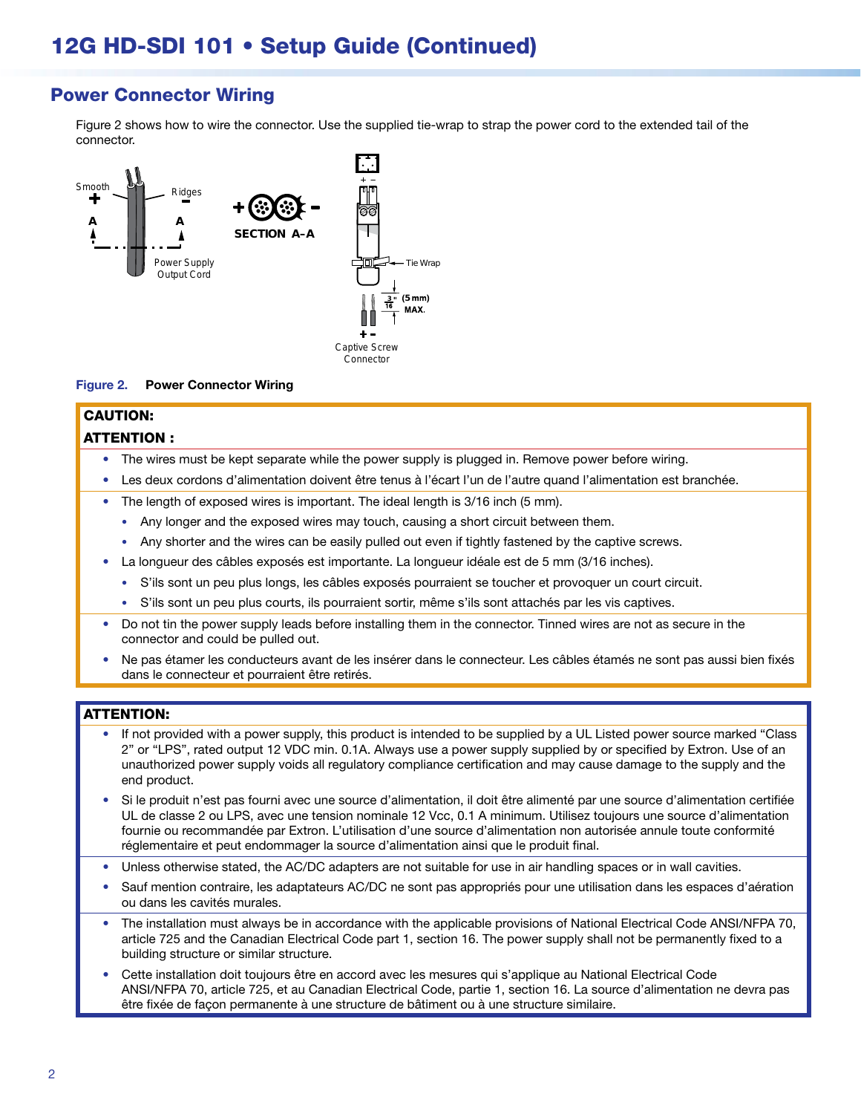# <span id="page-1-0"></span>Power Connector Wiring

Figure 2 shows how to wire the connector. Use the supplied tie-wrap to strap the power cord to the extended tail of the connector.

<span id="page-1-1"></span>

#### Figure 2. Power Connector Wiring

#### CAUTION: ATTENTION :

- The wires must be kept separate while the power supply is plugged in. Remove power before wiring.
- Les deux cordons d'alimentation doivent être tenus à l'écart l'un de l'autre quand l'alimentation est branchée.
- The length of exposed wires is important. The ideal length is 3/16 inch (5 mm).
	- Any longer and the exposed wires may touch, causing a short circuit between them.
	- Any shorter and the wires can be easily pulled out even if tightly fastened by the captive screws.
- La longueur des câbles exposés est importante. La longueur idéale est de 5 mm (3/16 inches).
	- S'ils sont un peu plus longs, les câbles exposés pourraient se toucher et provoquer un court circuit.
	- S'ils sont un peu plus courts, ils pourraient sortir, même s'ils sont attachés par les vis captives.
- Do not tin the power supply leads before installing them in the connector. Tinned wires are not as secure in the connector and could be pulled out.
- Ne pas étamer les conducteurs avant de les insérer dans le connecteur. Les câbles étamés ne sont pas aussi bien fixés dans le connecteur et pourraient être retirés.

#### ATTENTION:

- If not provided with a power supply, this product is intended to be supplied by a UL Listed power source marked "Class 2" or "LPS", rated output 12 VDC min. 0.1A. Always use a power supply supplied by or specified by Extron. Use of an unauthorized power supply voids all regulatory compliance certification and may cause damage to the supply and the end product.
- Si le produit n'est pas fourni avec une source d'alimentation, il doit être alimenté par une source d'alimentation certifiée UL de classe 2 ou LPS, avec une tension nominale 12 Vcc, 0.1 A minimum. Utilisez toujours une source d'alimentation fournie ou recommandée par Extron. L'utilisation d'une source d'alimentation non autorisée annule toute conformité réglementaire et peut endommager la source d'alimentation ainsi que le produit final.
- Unless otherwise stated, the AC/DC adapters are not suitable for use in air handling spaces or in wall cavities.
- Sauf mention contraire, les adaptateurs AC/DC ne sont pas appropriés pour une utilisation dans les espaces d'aération ou dans les cavités murales.
- The installation must always be in accordance with the applicable provisions of National Electrical Code ANSI/NFPA 70, article 725 and the Canadian Electrical Code part 1, section 16. The power supply shall not be permanently fixed to a building structure or similar structure.
- Cette installation doit toujours être en accord avec les mesures qui s'applique au National Electrical Code ANSI/NFPA 70, article 725, et au Canadian Electrical Code, partie 1, section 16. La source d'alimentation ne devra pas être fixée de façon permanente à une structure de bâtiment ou à une structure similaire.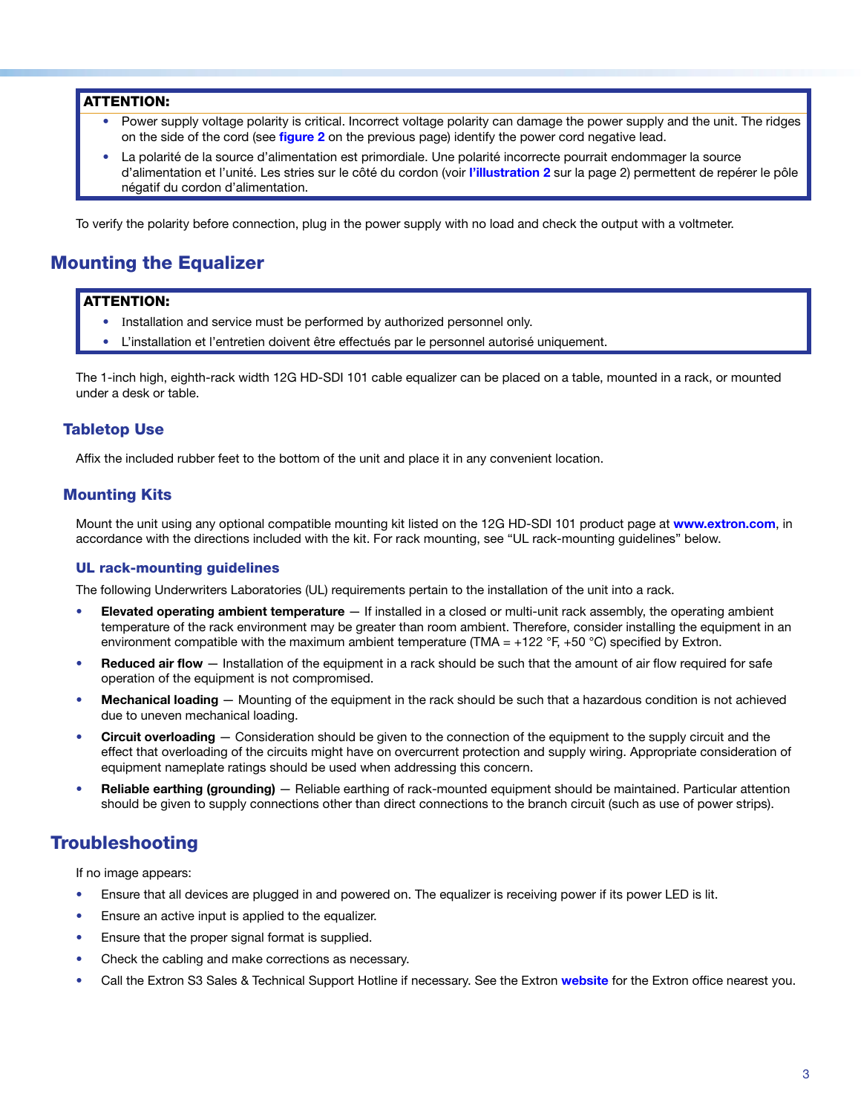#### ATTENTION:

- Power supply voltage polarity is critical. Incorrect voltage polarity can damage the power supply and the unit. The ridges on the side of the cord (see [figure](#page-1-1) 2 on the previous page) identify the power cord negative lead.
- La polarité de la source d'alimentation est primordiale. Une polarité incorrecte pourrait endommager la source d'alimentation et l'unité. Les stries sur le côté du cordon (voir [l'illustration 2](#page-1-1) sur la page 2) permettent de repérer le pôle négatif du cordon d'alimentation.

To verify the polarity before connection, plug in the power supply with no load and check the output with a voltmeter.

# <span id="page-2-0"></span>Mounting the Equalizer

#### ATTENTION:

- Installation and service must be performed by authorized personnel only.
- L'installation et l'entretien doivent être effectués par le personnel autorisé uniquement.

The 1-inch high, eighth-rack width 12G HD-SDI 101 cable equalizer can be placed on a table, mounted in a rack, or mounted under a desk or table.

#### Tabletop Use

Affix the included rubber feet to the bottom of the unit and place it in any convenient location.

#### Mounting Kits

Mount the unit using any optional compatible mounting kit listed on the 12G HD-SDI 101 product page at [www.extron.com](http://www.extron.com), in accordance with the directions included with the kit. For rack mounting, see "[UL rack-mounting guidelines"](#page-2-1) below.

#### <span id="page-2-1"></span>UL rack-mounting guidelines

The following Underwriters Laboratories (UL) requirements pertain to the installation of the unit into a rack.

- Elevated operating ambient temperature  $-$  If installed in a closed or multi-unit rack assembly, the operating ambient temperature of the rack environment may be greater than room ambient. Therefore, consider installing the equipment in an environment compatible with the maximum ambient temperature (TMA = +122 °F, +50 °C) specified by Extron.
- Reduced air flow  $-$  Installation of the equipment in a rack should be such that the amount of air flow required for safe operation of the equipment is not compromised.
- Mechanical loading Mounting of the equipment in the rack should be such that a hazardous condition is not achieved due to uneven mechanical loading.
- **Circuit overloading**  $-$  Consideration should be given to the connection of the equipment to the supply circuit and the effect that overloading of the circuits might have on overcurrent protection and supply wiring. Appropriate consideration of equipment nameplate ratings should be used when addressing this concern.
- Reliable earthing (grounding) Reliable earthing of rack-mounted equipment should be maintained. Particular attention should be given to supply connections other than direct connections to the branch circuit (such as use of power strips).

## **Troubleshooting**

If no image appears:

- Ensure that all devices are plugged in and powered on. The equalizer is receiving power if its power LED is lit.
- Ensure an active input is applied to the equalizer.
- Ensure that the proper signal format is supplied.
- Check the cabling and make corrections as necessary.
- Call the Extron S3 Sales & Technical Support Hotline if necessary. See the Extron [website](http://www.extron.com) for the Extron office nearest you.